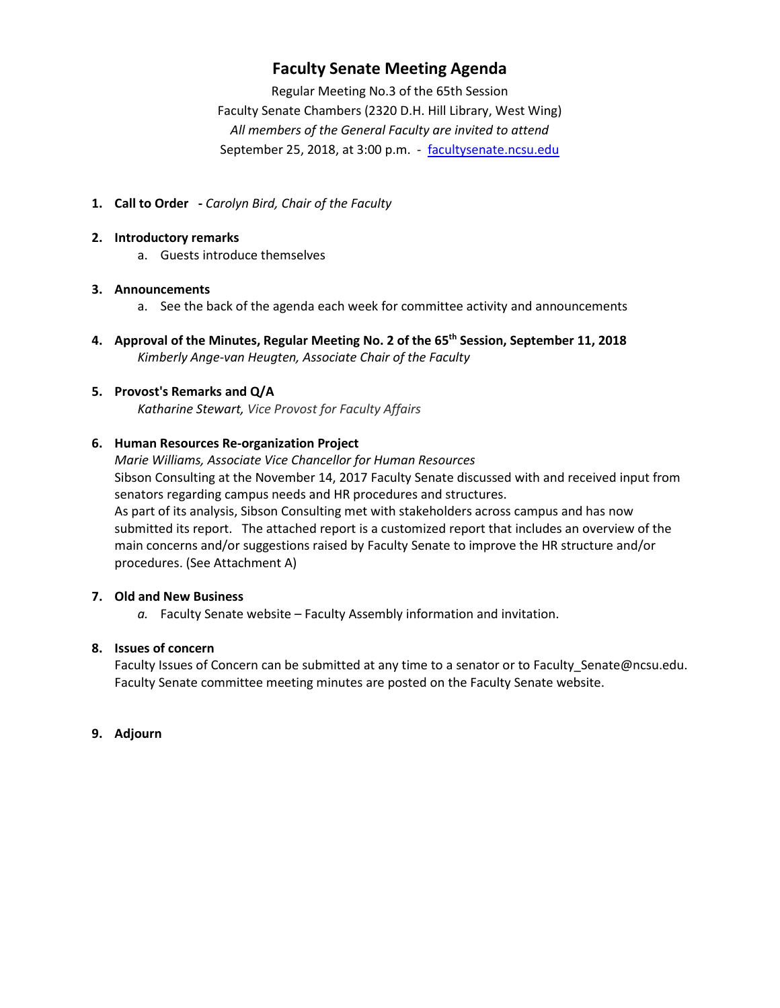## **Faculty Senate Meeting Agenda**

Regular Meeting No.3 of the 65th Session Faculty Senate Chambers (2320 D.H. Hill Library, West Wing) *All members of the General Faculty are invited to attend* September 25, 2018, at 3:00 p.m. - [facultysenate.ncsu.edu](https://facultysenate.ncsu.edu/)

**1. Call to Order -** *Carolyn Bird, Chair of the Faculty*

#### **2. Introductory remarks**

a. Guests introduce themselves

#### **3. Announcements**

- a. See the back of the agenda each week for committee activity and announcements
- **4. Approval of the Minutes, Regular Meeting No. 2 of the 65th Session, September 11, 2018** *Kimberly Ange-van Heugten, Associate Chair of the Faculty*

## **5. Provost's Remarks and Q/A**

*Katharine Stewart, Vice Provost for Faculty Affairs*

#### **6. Human Resources Re-organization Project**

*Marie Williams, Associate Vice Chancellor for Human Resources* Sibson Consulting at the November 14, 2017 Faculty Senate discussed with and received input from senators regarding campus needs and HR procedures and structures. As part of its analysis, Sibson Consulting met with stakeholders across campus and has now submitted its report. The attached report is a customized report that includes an overview of the main concerns and/or suggestions raised by Faculty Senate to improve the HR structure and/or procedures. (See Attachment A)

#### **7. Old and New Business**

*a.* Faculty Senate website – Faculty Assembly information and invitation.

## **8. Issues of concern**

Faculty Issues of Concern can be submitted at any time to a senator or to Faculty\_Senate@ncsu.edu. Faculty Senate committee meeting minutes are posted on the Faculty Senate website.

#### **9. Adjourn**